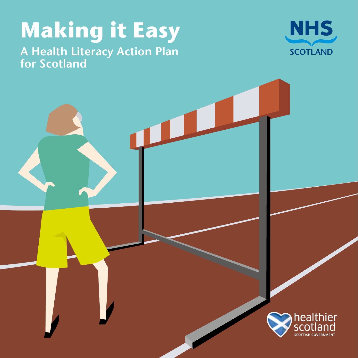# **Making it Easy**

**A Health Literacy Action Plan for Scotland**



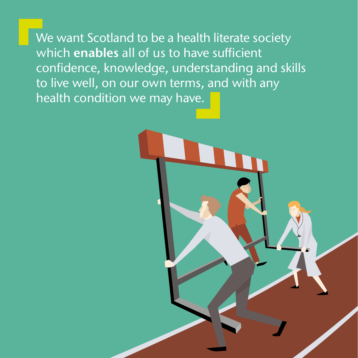We want Scotland to be a health literate society which **enables** all of us to have sufficient confidence, knowledge, understanding and skills to live well, on our own terms, and with any health condition we may have.

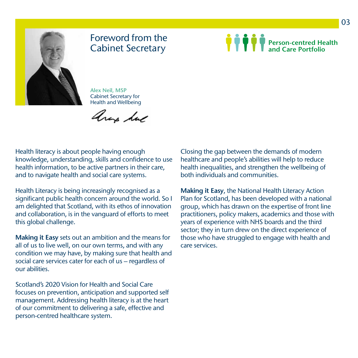

## Foreword from the Cabinet Secretary

**Person-centred Health and Care Portfolio**

**Alex Neil, MSP** Cabinet Secretary for Health and Wellbeing

aras hue

Health literacy is about people having enough knowledge, understanding, skills and confidence to use health information, to be active partners in their care, and to navigate health and social care systems.

Health Literacy is being increasingly recognised as a significant public health concern around the world. So I am delighted that Scotland, with its ethos of innovation and collaboration, is in the vanguard of efforts to meet this global challenge.

**Making it Easy** sets out an ambition and the means for all of us to live well, on our own terms, and with any condition we may have, by making sure that health and social care services cater for each of us – regardless of our abilities.

Scotland's 2020 Vision for Health and Social Care focuses on prevention, anticipation and supported self management. Addressing health literacy is at the heart of our commitment to delivering a safe, effective and person-centred healthcare system.

Closing the gap between the demands of modern healthcare and people's abilities will help to reduce health inequalities, and strengthen the wellbeing of both individuals and communities.

**Making it Easy**, the National Health Literacy Action Plan for Scotland, has been developed with a national group, which has drawn on the expertise of front line practitioners, policy makers, academics and those with years of experience with NHS boards and the third sector; they in turn drew on the direct experience of those who have struggled to engage with health and care services.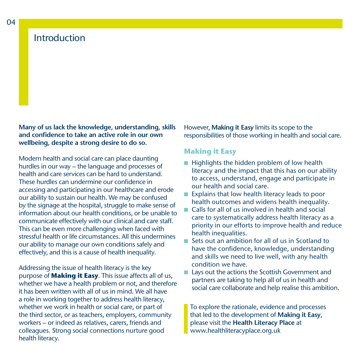## **Introduction**

**Many of us lack the knowledge, understanding, skills and confidence to take an active role in our own wellbeing, despite a strong desire to do so.** 

Modern health and social care can place daunting hurdles in our way – the language and processes of health and care services can be hard to understand. These hurdles can undermine our confidence in accessing and participating in our healthcare and erode our ability to sustain our health. We may be confused by the signage at the hospital, struggle to make sense of information about our health conditions, or be unable to communicate effectively with our clinical and care staff. This can be even more challenging when faced with stressful health or life circumstances. All this undermines our ability to manage our own conditions safely and effectively, and this is a cause of health inequality.

Addressing the issue of health literacy is the key purpose of **Making it Easy**. This issue affects all of us, whether we have a health problem or not, and therefore it has been written with all of us in mind. We all have a role in working together to address health literacy, whether we work in health or social care, or part of the third sector, or as teachers, employers, community workers – or indeed as relatives, carers, friends and colleagues. Strong social connections nurture good health literacy.

However, **Making it Easy** limits its scope to the responsibilities of those working in health and social care.

#### **Making it Easy**

- $\blacksquare$  Highlights the hidden problem of low health literacy and the impact that this has on our ability to access, understand, engage and participate in our health and social care.
- $\blacksquare$  Explains that low health literacy leads to poor health outcomes and widens health inequality.
- n Calls for all of us involved in health and social care to systematically address health literacy as a priority in our efforts to improve health and reduce health inequalities.
- Sets out an ambition for all of us in Scotland to have the confidence, knowledge, understanding and skills we need to live well, with any health condition we have.
- Lays out the actions the Scottish Government and partners are taking to help all of us in health and social care collaborate and help realise this ambition.

To explore the rationale, evidence and processes that led to the development of **Making it Easy**, please visit the **Health Literacy Place** at www.healthliteracyplace.org.uk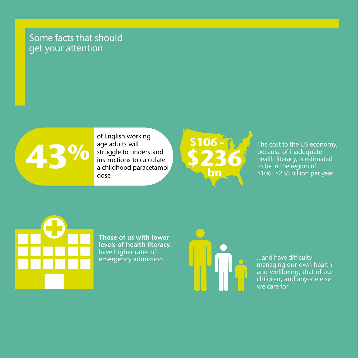## Some facts that should get your attention



of English working age adults will struggle to understand instructions to calculate a childhood paracetamol **43** dose



The cost to the US economy, because of inadequate health literacy, is estimated to be in the region of \$106- \$236 billion per year



**Those of us with lower levels of health literacy:**  have higher rates of emergency admission... ...and have difficulty



managing our own health and wellbeing, that of our children, and anyone else we care for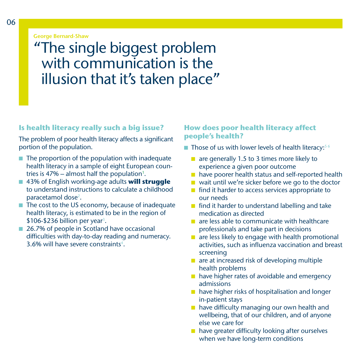**George Bernard-Shaw**

## "The single biggest problem with communication is the illusion that it's taken place"

#### **Is health literacy really such a big issue?**

The problem of poor health literacy affects a significant portion of the population.

- $\blacksquare$  The proportion of the population with inadequate health literacy in a sample of eight European countries is 47% – almost half the population $^{\textrm{\text{!`}}}.$
- 43% of English working-age adults **will struggle** to understand instructions to calculate a childhood paracetamol dose<sup>2</sup>.
- $\blacksquare$  The cost to the US economy, because of inadequate health literacy, is estimated to be in the region of  $$106-\$236$  billion per year<sup>3</sup>.
- 26.7% of people in Scotland have occasional difficulties with day-to-day reading and numeracy. 3.6% will have severe constraints<sup>4</sup>.

## **How does poor health literacy affect people's health?**

 $\blacksquare$  Those of us with lower levels of health literacy:  $56$ 

- $\blacksquare$  are generally 1.5 to 3 times more likely to experience a given poor outcome
- $\blacksquare$  have poorer health status and self-reported health
- $\blacksquare$  wait until we're sicker before we go to the doctor
- $\blacksquare$  find it harder to access services appropriate to our needs
- $\blacksquare$  find it harder to understand labelling and take medication as directed
- $\blacksquare$  are less able to communicate with healthcare professionals and take part in decisions
- $\blacksquare$  are less likely to engage with health promotional activities, such as influenza vaccination and breast screening
- $\blacksquare$  are at increased risk of developing multiple health problems
- $\blacksquare$  have higher rates of avoidable and emergency admissions
- $\blacksquare$  have higher risks of hospitalisation and longer in-patient stays
- $\blacksquare$  have difficulty managing our own health and wellbeing, that of our children, and of anyone else we care for
- $\blacksquare$  have greater difficulty looking after ourselves when we have long-term conditions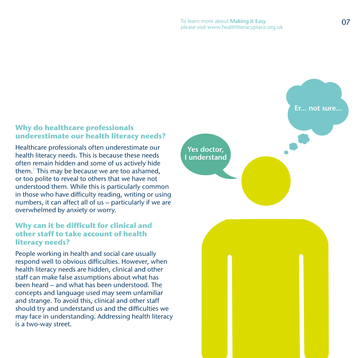## **Why do healthcare professionals underestimate our health literacy needs?**

Healthcare professionals often underestimate our health literacy needs. This is because these needs often remain hidden and some of us actively hide them.7 This may be because we are too ashamed, or too polite to reveal to others that we have not understood them. While this is particularly common in those who have difficulty reading, writing or using numbers, it can affect all of us – particularly if we are overwhelmed by anxiety or worry.

## **Why can it be difficult for clinical and other staff to take account of health literacy needs?**

People working in health and social care usually respond well to obvious difficulties. However, when health literacy needs are hidden, clinical and other staff can make false assumptions about what has been heard – and what has been understood. The concepts and language used may seem unfamiliar and strange. To avoid this, clinical and other staff should try and understand us and the difficulties we may face in understanding. Addressing health literacy is a two-way street.

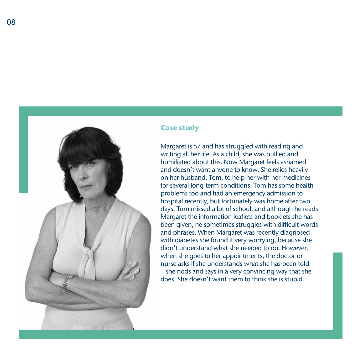

08



## **Case study**

Margaret is 57 and has struggled with reading and writing all her life. As a child, she was bullied and humiliated about this. Now Margaret feels ashamed and doesn't want anyone to know. She relies heavily on her husband, Tom, to help her with her medicines for several long-term conditions. Tom has some health problems too and had an emergency admission to hospital recently, but fortunately was home after two days. Tom missed a lot of school, and although he reads Margaret the information leaflets and booklets she has been given, he sometimes struggles with difficult words and phrases. When Margaret was recently diagnosed with diabetes she found it very worrying, because she didn't understand what she needed to do. However, when she goes to her appointments, the doctor or nurse asks if she understands what she has been told – she nods and says in a very convincing way that she does. She doesn't want them to think she is stupid.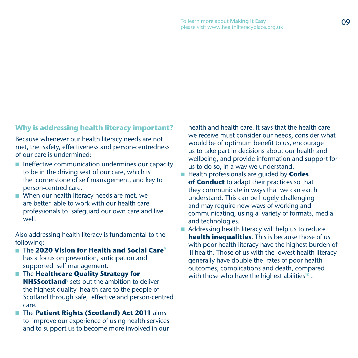## **Why is addressing health literacy important?**

Because whenever our health literacy needs are not met, the safety, effectiveness and person-centredness of our care is undermined:

- $\blacksquare$  Ineffective communication undermines our capacity to be in the driving seat of our care, which is the cornerstone of self management, and key to person-centred care.
- $\blacksquare$  When our health literacy needs are met, we are better able to work with our health care professionals to safeguard our own care and live well.

Also addressing health literacy is fundamental to the following:

- The **2020 Vision for Health and Social Care**<sup>9</sup> has a focus on prevention, anticipation and supported self management.
- **n** The **Healthcare Quality Strategy for NHSScotland**<sup>8</sup> sets out the ambition to deliver the highest quality health care to the people of Scotland through safe, effective and person-centred care.
- **n** The **Patient Rights (Scotland) Act 2011** aims to improve our experience of using health services and to support us to become more involved in our

health and health care. It says that the health care we receive must consider our needs, consider what would be of optimum benefit to us, encourage us to take part in decisions about our health and wellbeing, and provide information and support for us to do so, in a way we understand.

- Health professionals are quided by **Codes of Conduct** to adapt their practices so that they communicate in ways that we can eac h understand. This can be hugely challenging and may require new ways of working and communicating, using a variety of formats, media and technologies.
- $\blacksquare$  Addressing health literacy will help us to reduce **health inequalities**. This is because those of us with poor health literacy have the highest burden of ill health. Those of us with the lowest health literacy generally have double the rates of poor health outcomes, complications and death, compared with those who have the highest abilities<sup>10</sup>.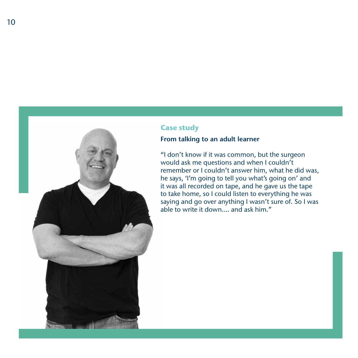

## **Case study**

## **From talking to an adult learner**

"I don't know if it was common, but the surgeon would ask me questions and when I couldn't remember or I couldn't answer him, what he did was, he says, 'I'm going to tell you what's going on' and it was all recorded on tape, and he gave us the tape to take home, so I could listen to everything he was saying and go over anything I wasn't sure of. So I was able to write it down…. and ask him."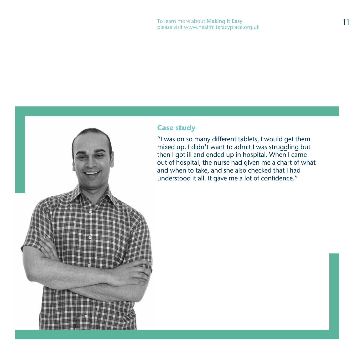## **Case study**

"I was on so many different tablets, I would get them mixed up. I didn't want to admit I was struggling but then I got ill and ended up in hospital. When I came out of hospital, the nurse had given me a chart of what and when to take, and she also checked that I had understood it all. It gave me a lot of confidence."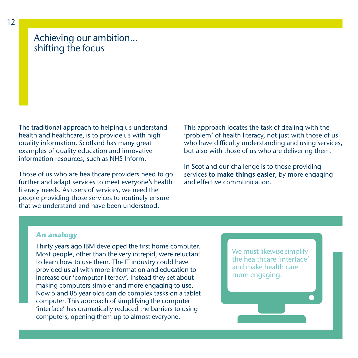## Achieving our ambition... shifting the focus

The traditional approach to helping us understand health and healthcare, is to provide us with high quality information. Scotland has many great examples of quality education and innovative information resources, such as NHS Inform.

Those of us who are healthcare providers need to go further and adapt services to meet everyone's health literacy needs. As users of services, we need the people providing those services to routinely ensure that we understand and have been understood.

This approach locates the task of dealing with the 'problem' of health literacy, not just with those of us who have difficulty understanding and using services, but also with those of us who are delivering them.

In Scotland our challenge is to those providing services **to make things easier**, by more engaging and effective communication.

## **An analogy**

Thirty years ago IBM developed the first home computer. Most people, other than the very intrepid, were reluctant to learn how to use them. The IT industry could have provided us all with more information and education to increase our 'computer literacy'. Instead they set about making computers simpler and more engaging to use. Now 5 and 85 year olds can do complex tasks on a tablet computer. This approach of simplifying the computer 'interface' has dramatically reduced the barriers to using computers, opening them up to almost everyone.

We must likewise simplify the healthcare 'interface' and make health care more engaging.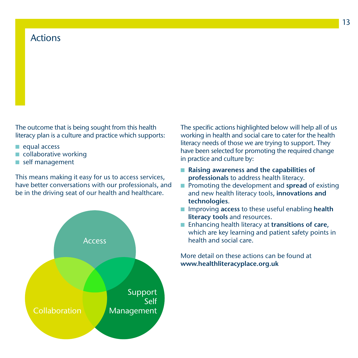## Actions

The outcome that is being sought from this health literacy plan is a culture and practice which supports:

- equal access
- $\blacksquare$  collaborative working
- $\blacksquare$  self management

This means making it easy for us to access services, have better conversations with our professionals, and be in the driving seat of our health and healthcare.



The specific actions highlighted below will help all of us working in health and social care to cater for the health literacy needs of those we are trying to support. They have been selected for promoting the required change in practice and culture by:

- Raising awareness and the capabilities of **professionals** to address health literacy.
- **n** Promoting the development and **spread** of existing and new health literacy tools, **innovations and technologies**.
- n Improving **access** to these useful enabling **health literacy tools** and resources.
- Enhancing health literacy at **transitions of care**, which are key learning and patient safety points in health and social care.

More detail on these actions can be found at **www.healthliteracyplace.org.uk**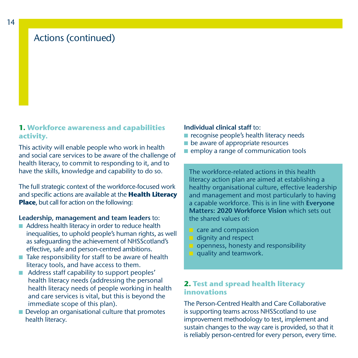## Actions (continued)

## **1. Workforce awareness and capabilities activity.**

This activity will enable people who work in health and social care services to be aware of the challenge of health literacy, to commit to responding to it, and to have the skills, knowledge and capability to do so.

The full strategic context of the workforce-focused work and specific actions are available at the **Health Literacy Place**, but call for action on the following:

#### **Leadership, management and team leaders** to:

- Address health literacy in order to reduce health inequalities, to uphold people's human rights, as well as safeguarding the achievement of NHSScotland's effective, safe and person-centred ambitions.
- $\blacksquare$  Take responsibility for staff to be aware of health literacy tools, and have access to them.
- Address staff capability to support peoples' health literacy needs (addressing the personal health literacy needs of people working in health and care services is vital, but this is beyond the immediate scope of this plan).
- Develop an organisational culture that promotes health literacy.

#### **Individual clinical staff** to:

- $\blacksquare$  recognise people's health literacy needs
- $\blacksquare$  be aware of appropriate resources
- $\blacksquare$  employ a range of communication tools

The workforce-related actions in this health literacy action plan are aimed at establishing a healthy organisational culture, effective leadership and management and most particularly to having a capable workforce. This is in line with **Everyone Matters: 2020 Workforce Vision** which sets out the shared values of:

- $\blacksquare$  care and compassion
- $\blacksquare$  dignity and respect
- $\blacksquare$  openness, honesty and responsibility
- $\blacksquare$  quality and teamwork.

## **2. Test and spread health literacy innovations**

The Person-Centred Health and Care Collaborative is supporting teams across NHSScotland to use improvement methodology to test, implement and sustain changes to the way care is provided, so that it is reliably person-centred for every person, every time.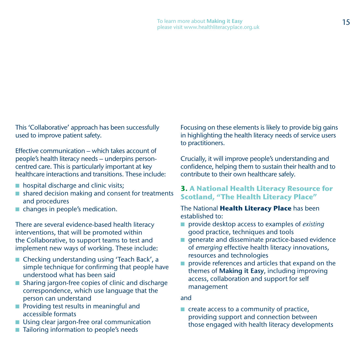This 'Collaborative' approach has been successfully used to improve patient safety.

Effective communication – which takes account of people's health literacy needs – underpins personcentred care. This is particularly important at key healthcare interactions and transitions. These include:

- $\blacksquare$  hospital discharge and clinic visits;
- $\blacksquare$  shared decision making and consent for treatments and procedures
- changes in people's medication.

There are several evidence-based health literacy interventions, that will be promoted within the Collaborative, to support teams to test and implement new ways of working. These include:

- Checking understanding using 'Teach Back', a simple technique for confirming that people have understood what has been said
- Sharing jargon-free copies of clinic and discharge correspondence, which use language that the person can understand
- $\blacksquare$  Providing test results in meaningful and accessible formats
- **N** Using clear jargon-free oral communication
- Tailoring information to people's needs

Focusing on these elements is likely to provide big gains in highlighting the health literacy needs of service users to practitioners.

Crucially, it will improve people's understanding and confidence, helping them to sustain their health and to contribute to their own healthcare safely.

## **3. A National Health Literacy Resource for Scotland, "The Health Literacy Place"**

## The National **Health Literacy Place** has been established to:

- provide desktop access to examples of *existing* good practice, techniques and tools
- $\blacksquare$  generate and disseminate practice-based evidence of *emerging* effective health literacy innovations, resources and technologies
- provide references and articles that expand on the themes of **Making it Easy**, including improving access, collaboration and support for self management

## and

 $\blacksquare$  create access to a community of practice, providing support and connection between those engaged with health literacy developments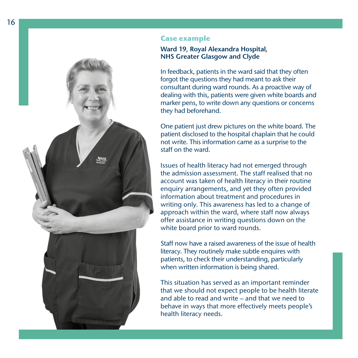

#### **Case example**

#### **Ward 19, Royal Alexandra Hospital, NHS Greater Glasgow and Clyde**

In feedback, patients in the ward said that they often forgot the questions they had meant to ask their consultant during ward rounds. As a proactive way of dealing with this, patients were given white boards and marker pens, to write down any questions or concerns they had beforehand.

One patient just drew pictures on the white board. The patient disclosed to the hospital chaplain that he could not write. This information came as a surprise to the staff on the ward.

Issues of health literacy had not emerged through the admission assessment. The staff realised that no account was taken of health literacy in their routine enquiry arrangements, and yet they often provided information about treatment and procedures in writing only. This awareness has led to a change of approach within the ward, where staff now always offer assistance in writing questions down on the white board prior to ward rounds.

Staff now have a raised awareness of the issue of health literacy. They routinely make subtle enquires with patients, to check their understanding, particularly when written information is being shared.

This situation has served as an important reminder that we should not expect people to be health literate and able to read and write – and that we need to behave in ways that more effectively meets people's health literacy needs.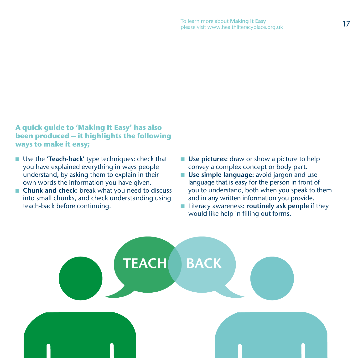## **A quick guide to 'Making It Easy' has also been produced – it highlights the following ways to make it easy;**

- **N** Use the **'Teach-back'** type techniques: check that you have explained everything in ways people understand, by asking them to explain in their own words the information you have given.
- **Chunk and check:** break what you need to discuss into small chunks, and check understanding using teach-back before continuing.
- **Use pictures:** draw or show a picture to help convey a complex concept or body part.
- **N** Use simple language: avoid jargon and use language that is easy for the person in front of you to understand, both when you speak to them and in any written information you provide.
- Literacy awareness: **routinely ask people** if they would like help in filling out forms.

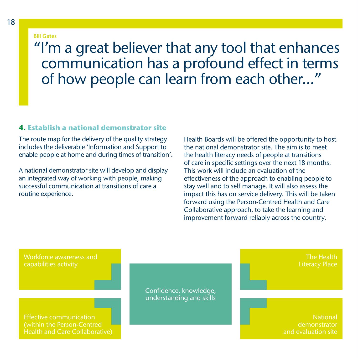#### **Bill Gates**

# "I'm a great believer that any tool that enhances communication has a profound effect in terms of how people can learn from each other..."

## **4. Establish a national demonstrator site**

The route map for the delivery of the quality strategy includes the deliverable 'Information and Support to enable people at home and during times of transition'.

A national demonstrator site will develop and display an integrated way of working with people, making successful communication at transitions of care a routine experience.

Health Boards will be offered the opportunity to host the national demonstrator site. The aim is to meet the health literacy needs of people at transitions of care in specific settings over the next 18 months. This work will include an evaluation of the effectiveness of the approach to enabling people to stay well and to self manage. It will also assess the impact this has on service delivery. This will be taken forward using the Person-Centred Health and Care Collaborative approach, to take the learning and improvement forward reliably across the country.

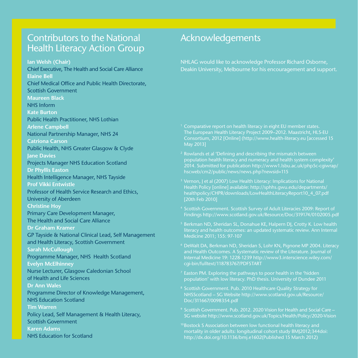## Contributors to the National **Health Literacy Action Group**

**Ian Welsh (Chair)**

Chief Executive, The Health and Social Care Alliance **Elaine Bell** Chief Medical Office and Public Health Directorate, Scottish Government **Maureen Black** NHS Inform **Kate Burton** Public Health Practitioner, NHS Lothian **Arlene Campbell** National Partnership Manager, NHS 24 **Catriona Carson** Public Health, NHS Greater Glasgow & Clyde **Jane Davies** Projects Manager NHS Education Scotland **Dr Phyllis Easton** Health Intelligence Manager, NHS Tayside **Prof Vikki Entwistle** Professor of Health Service Research and Ethics, University of Aberdeen **Christine Hoy** Primary Care Development Manager, The Health and Social Care Alliance **Dr Graham Kramer** GP Tayside & National Clinical Lead, Self Management and Health Literacy, Scottish Government **Sarah McCullough** Programme Manager, NHS Health Scotland **Evelyn McElhinney** Nurse Lecturer, Glasgow Caledonian School of Health and Life Sciences **Dr Ann Wales** Programme Director of Knowledge Management, NHS Education Scotland **Tim Warren** Policy Lead, Self Management & Health Literacy, Scottish Government **Karen Adams**  NHS Education for Scotland

## Acknowledgements

NHLAG would like to acknowledge Professor Richard Osborne, Deakin University, Melbourne for his encouragement and support.

- <sup>1</sup> Comparative report on health literacy in eight EU member states. The European Health Literacy Project 2009–2012. Maastricht, HLS-EU Consortium, 2012 [Online] (http://www.health-literacy.eu [accessed 15 May 2013]
- 2 Rowlands et al 'Defining and describing the mismatch between 2014. Submitted for publication http://www1.lsbu.ac.uk/php5c-cgiwrap/ hscweb/cm2/public/news/news.php?newsid=115
- Vernon, J et al (2007) Low Health Literacy: Implications for National Health Policy [online] available: http://sphhs.gwu.edu/departments/ healthpolicy/CHPR/downloads/LowHealthLiteracyReport10\_4\_07.pdf [20th Feb 2010]
- 4 Scottish Government. Scottish Survey of Adult Literacies 2009: Report of Findings http://www.scotland.gov.uk/Resource/Doc/319174/0102005.pdf
- 5 Berkman ND, Sheridan SL, Donahue KE, Halpern DJ, Crotty K. Low health literacy and health outcomes: an updated systematic review. Ann Internal Medicine 2011; 155: 97-107
- <sup>6</sup> DeWalt DA, Berkman ND, Sheridan S, Lohr KN, Pignone MP 2004. Literacy and Health Outcomes. A Systematic review of the Literature. Journal of Internal Medicine 19: 1228-1239 http://www3.interscience.wiley.com/ cgi-bin/fulltext/118783767/PDFSTART
- Easton PM. Exploring the pathways to poor health in the 'hidden' population' with low literacy. PhD thesis. University of Dundee 2011
- <sup>8</sup> Scottish Government. Pub. 2010 Healthcare Quality Strategy for NHSScotland – SG Website http://www.scotland.gov.uk/Resource/ Doc/311667/0098354.pdf
- <sup>9</sup> Scottish Government. Pub. 2012. 2020 Vision for Health and Social Care SG website http://www.scotland.gov.uk/Topics/Health/Policy/2020-Vision
- <sup>10</sup> Bostock S Association between low functional health literacy and mortality in older adults: longitudinal cohort study BMJ2012;344doi: http://dx.doi.org/10.1136/bmj.e1602(Published 15 March 2012)